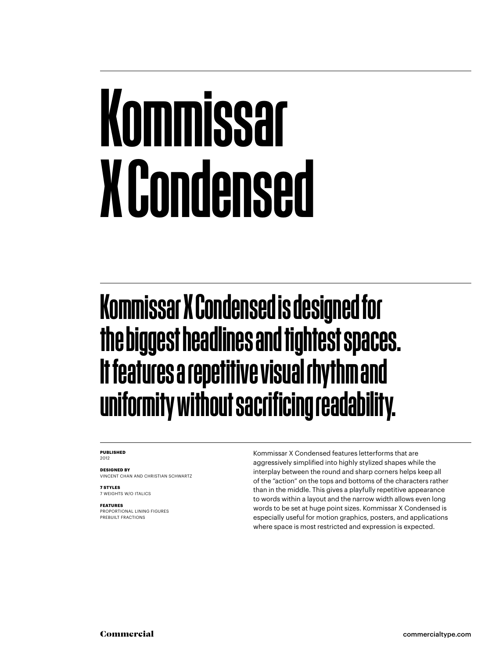## Kommissar X Condensed

#### Kommissar X Condensed is designed for the biggest headlines and tightest spaces. It features a repetitive visual rhythm and uniformity without sacrificing readability.

#### **PUBLISHED** 2012

**DESIGNED BY** VINCENT CHAN AND CHRISTIAN SCHWARTZ

**7 STYLES** 7 WEIGHTS W/O ITALICS

**FEATURES**

PROPORTIONAL LINING FIGURES PREBUILT FRACTIONS

Kommissar X Condensed features letterforms that are aggressively simplified into highly stylized shapes while the interplay between the round and sharp corners helps keep all of the "action" on the tops and bottoms of the characters rather than in the middle. This gives a playfully repetitive appearance to words within a layout and the narrow width allows even long words to be set at huge point sizes. Kommissar X Condensed is especially useful for motion graphics, posters, and applications where space is most restricted and expression is expected.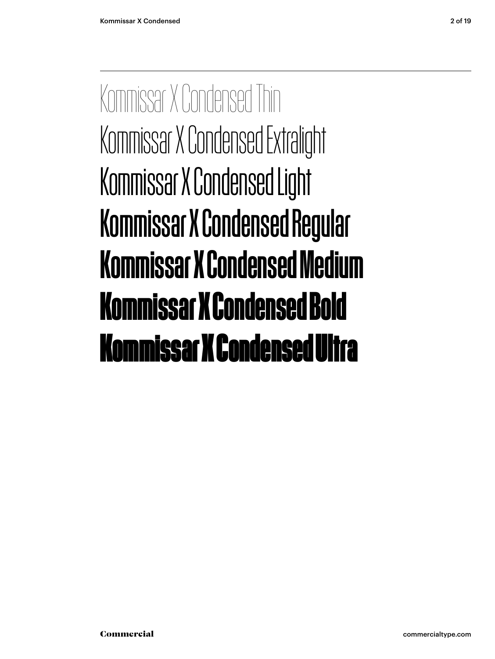Kommissar X Condensed Thin Kommissar X Condensed Extralight Kommissar X Condensed Light Kommissar X Condensed Regular Kommissar X Condensed Medium **Kommissar X Condensed Bold** Kommissar X Condensed Ultra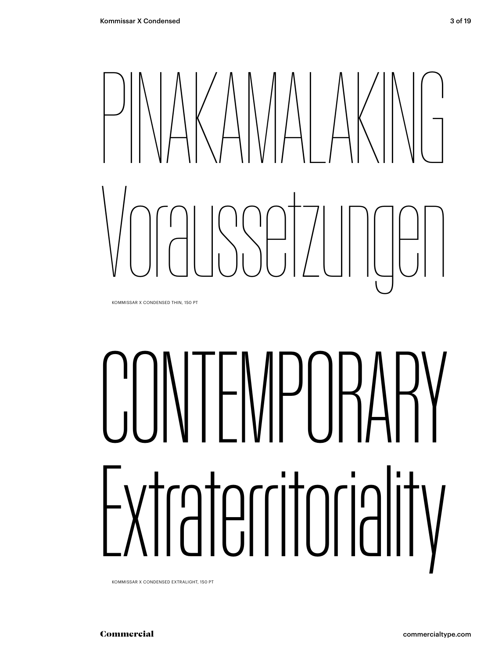# PRINAMALAKIN Voraussetzungen

KOMMISSAR X CONDENSED THIN, 150 PT

# CONTEMPORARY Extraterritoriality

KOMMISSAR X CONDENSED EXTRALIGHT, 150 PT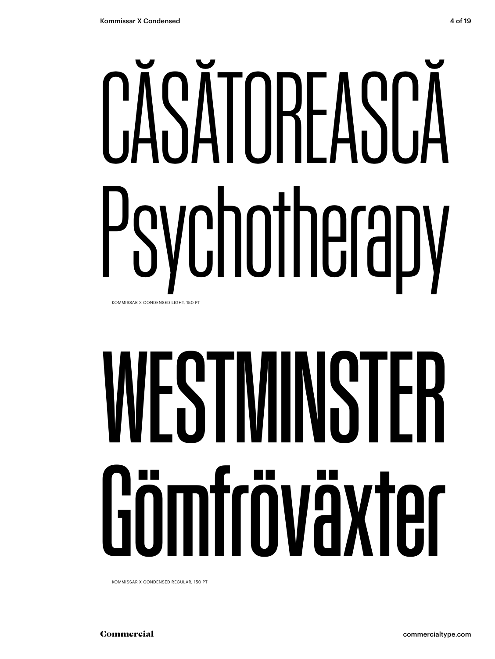# CĂSĂTOREASCA sychotherapy KOMMISSAR X CONDENSED LIGHT, 150 PT

# VESTMINSTER Gömfröväxter

KOMMISSAR X CONDENSED REGULAR, 150 PT

Commercial

commercialtype.com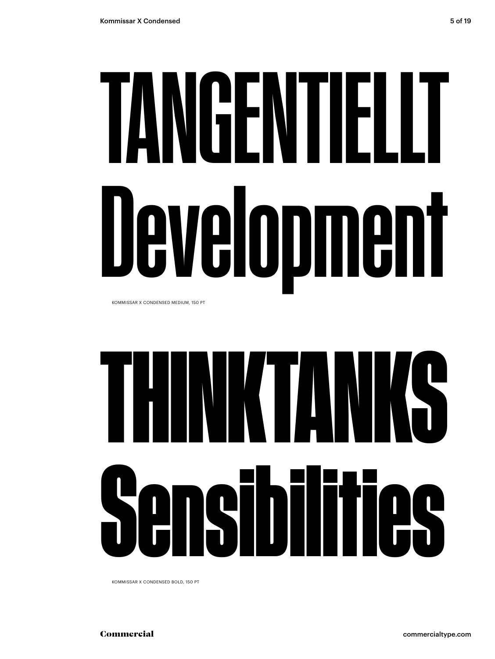# TANGENTIELIT Development

KOMMISSAR X CONDENSED MEDIUM, 150 PT



KOMMISSAR X CONDENSED BOLD, 150 PT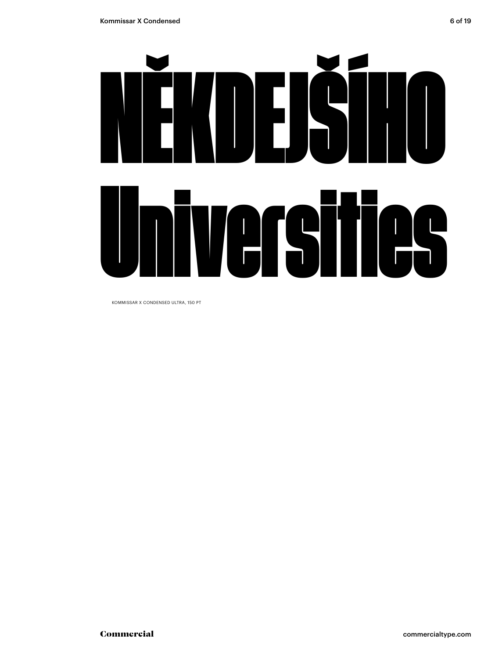

KOMMISSAR X CONDENSED ULTRA, 150 PT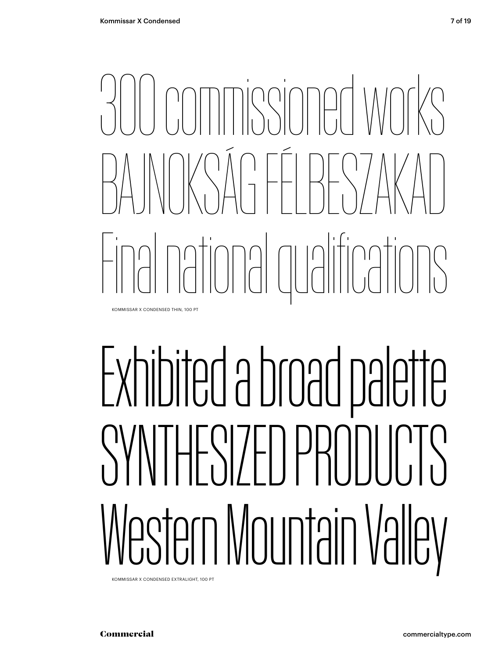# annissioned wor BAJNOKSÁG FÉLBESZAKAD Final national qualifications

KOMMISSAR X CONDENSED THIN, 100 PT

## Exhibited a broad palette SYNTHESIZED PRODUCTS Western Mountain Valley

KOMMISSAR X CONDENSED EXTRALIGHT, 100 PT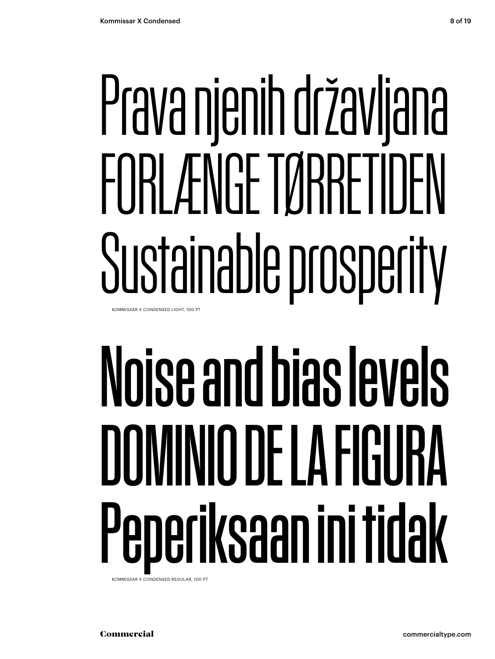# Prava njenih državljana FORLÆNGE TØRRETIDEN Sustainable prosperity

KOMMISSAR X CONDENSED LIGHT, 100 PT

# Noise and bias levels DOMINIO DE LA FIGURA Peperiksaan ini tidak

KOMMISSAR X CONDENSED REGULAR, 100 PT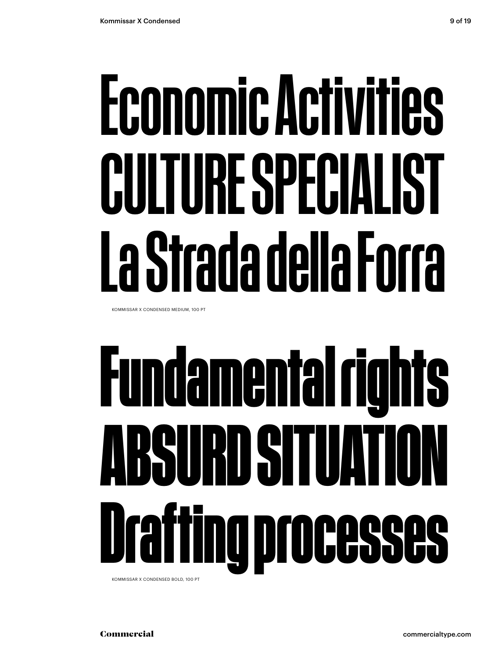## Economic Activities CULTURE SPECIALIST La Strada della Forra

KOMMISSAR X CONDENSED MEDIUM, 100 PT

# **Fundamental rights ABSURD SITUATION Drafting processes**

KOMMISSAR X CONDENSED BOLD, 100 PT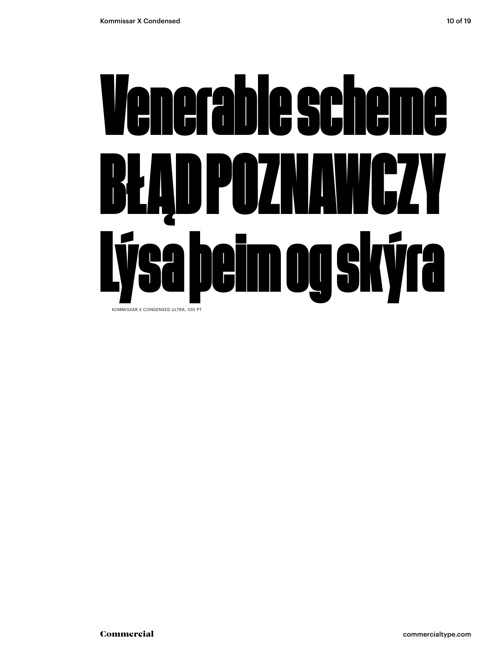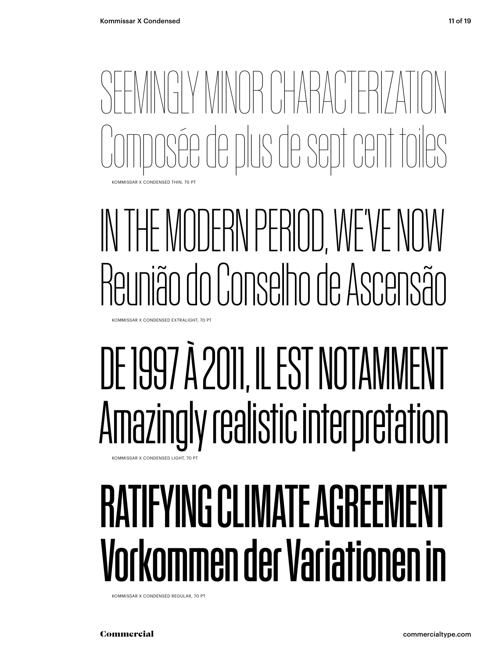SEEMINGLY MINOR CHARACTERIZATION Composée de plus de sept cent toiles KOMMISSAR X CONDENSED THIN, 70 PT

### IN THE MODERN PERIOD, WE'VE NO Reunião do Conselho de Ascensão

KOMMISSAR X CONDENSED EXTRALIGHT, 70 PT

### DE 1997 À 2011, IL EST NOTAMMENT Amazingly realistic interpretation

#### KOMMISSAR X CONDENSED LIGHT, 70 PT

#### RATIFYING CLIMATE AGREEMI Vorkommen der Variationen in

KOMMISSAR X CONDENSED REGULAR, 70 PT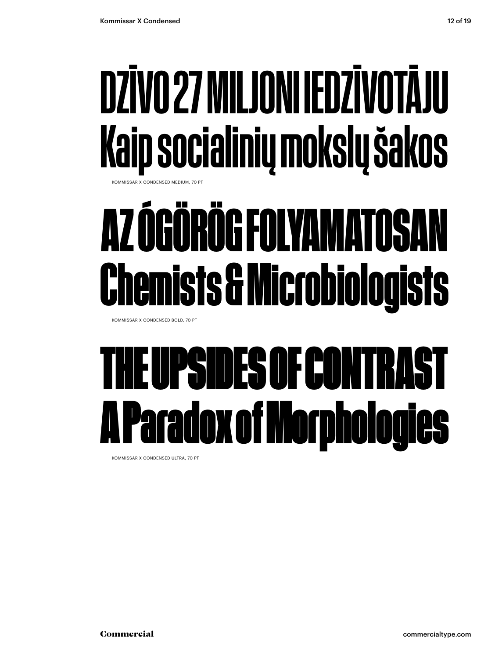### DZĪVO 27 MILJONI IEDZĪVOTĀJU Kaip socialinių mokslų šakos

**COMMISSAR X CONDENSED MEDIUM, 70 PT** 

### **AZ ÓGÖRÖG FOLYAMATOSAN Chemists & Microbiologists**

KOMMISSAR X CONDENSED BOLD, 70 PT

### UPSIDES OF CONTRAST **Lox of Morphologies**

KOMMISSAR X CONDENSED ULTRA, 70 PT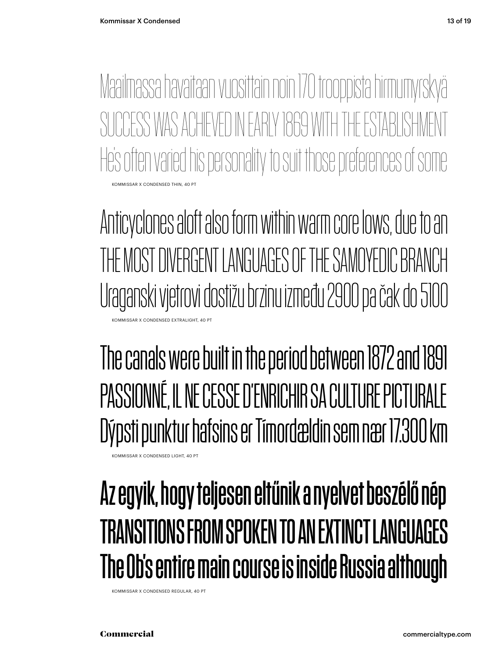KOMMISSAR X CONDENSED THIN, 40 PT Maailmassa havaitaan vuosittain noin 170 trooppista hirmumyrskyä SI INNESS WAS ANHEVED IN FARIY 1869 WITH THE ESTABLISHMENT He's often varied his personality to suit those preferences of some

Anticyclones aloft also form within warm core lows, due to an THE MOST DIVERGENT LANGUAGES OF THE SAMOYEDIC BRANCH Uraganski vjetrovi dostižu brzinu između 2900 pa čak do 5100 KOMMISSAR X CONDENSED EXTRALIGHT, 40 PT

The canals were built in the period between 1872 and 1891 PASSIONNÉ, IL NE CESSE D'ENRICHIR SA CULTURE PICTURALE Dýpsti punktur hafsins er Tímordældin sem nær 17.300 km

KOMMISSAR X CONDENSED LIGHT, 40 PT

#### Az egyik, hogy teljesen eltűnik a nyelvet beszélő nép TRANSITIONS FROM SPOKEN TO AN EXTINCT LANGUAGES The Ob's entire main course is inside Russia although

KOMMISSAR X CONDENSED REGULAR, 40 PT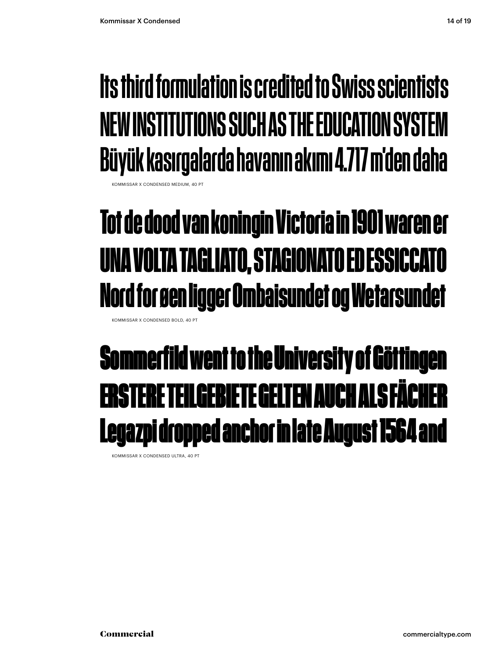#### Its third formulation is credited to Swiss scientists NEW INSTITUTIONS SUCH AS THE EDUCATION SYSTEM Büyük kasırgalarda havanın akımı 4.717 m'den daha

**KOMMISSAR X CONDENSED MEDIUM, 40 PT** 

#### **Tot de dood van koningin Victoria in 1901 waren er UNA VOLTA TAGLIATO, STAGIONATO ED ESSICCATO Nord for øen ligger Ombaisundet og Wetarsundet**

KOMMISSAR X CONDENSED BOLD, 40 PT

#### Sommerfild went to the University of Göttingen ERSTERE TEILGEBIETE GELTEN AUCH ALS FÄCHER Legazpi dropped anchor in late August 1564 and

KOMMISSAR X CONDENSED ULTRA, 40 PT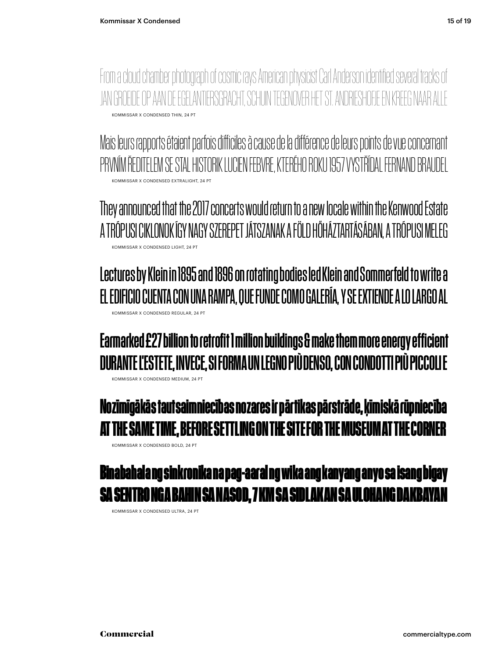KOMMISSAR X CONDENSED THIN, 24 PT From a cloud chamber photograph of cosmic rays American physicist Carl Anderson identified several tracks of JAN GROEIDE OP AAN DE EGELANTIERSGRACHT, SCHUIN TEGENOVER HET ST. ANDRIESI

KOMMISSAR X CONDENSED EXTRALIGHT, 24 PT Mais leurs rapports étaient parfois difficiles à cause de la différence de leurs points de vue concernant PRVNÍM ŘEDITELEM SE STAL HISTORIK LUCIEN FEBVRE, KTERÉHO ROKU 1957 VYSTŘÍDAL FERNAND BRAUDEL

KOMMISSAR X CONDENSED LIGHT, 24 PT They announced that the 2017 concerts would return to a new locale within the Kenwood Estate A TRÓPUSI CIKLONOK ÍGY NAGY SZEREPET JÁTSZANAK A FÖLD HŐHÁZTARTÁSÁBAN, A TRÓPUSI MELEG

KOMMISSAR X CONDENSED REGULAR, 24 PT Lectures by Klein in 1895 and 1896 on rotating bodies led Klein and Sommerfeld to write a EL EDIFICIO CUENTA CON UNA RAMPA, QUE FUNDE COMO GALERÍA, Y SE EXTIENDE A LO LARGO AL

KOMMISSAR X CONDENSED MEDIUM, 24 PT Earmarked £27 billion to retrofit 1 million buildings & make them more energy efficient DURANTE L'ESTETE, INVECE, SI FORMA UN LEGNO PIÙ DENSO, CON CONDOTTI PIÙ PICCOLI E

**Nozīmīgākās tautsaimniecības nozares ir pārtikas pārstrāde, ķīmiskā rūpniecība AT THE SAME TIME, BEFORE SETTLING ON THE SITE FOR THE MUSEUM AT THE CORNER**

KOMMISSAR X CONDENSED BOLD, 24 PT



KOMMISSAR X CONDENSED ULTRA, 24 PT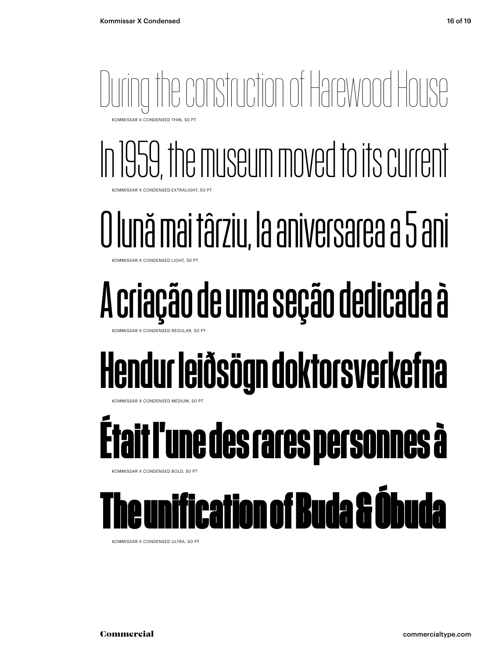#### During the construction of Harewood House KOMMISSAR X CONDENSED THIN, 50 PT

In 1959, the museum moved to its current KOMMISSAR X CONDENSED EXTRALIGHT, 50 PT

#### O lună mai târziu, la aniversarea a 5 ani

MMISSAR X CONDENSED LIGHT, 50 PT

### A criação de uma seção dedicada à

KOMMISSAR X CONDENSED REGULAR

#### Hendur leiðsögn doktorsverkefna

MMISSAR X CONDENSED MEDIUM, 50 PT

### **Était l'une des rares personnes à**

KOMMISSAR X CONDENSED BOLD, 50 PT

#### The unification of Buda & Óbuda

KOMMISSAR X CONDENSED ULTRA, 50 PT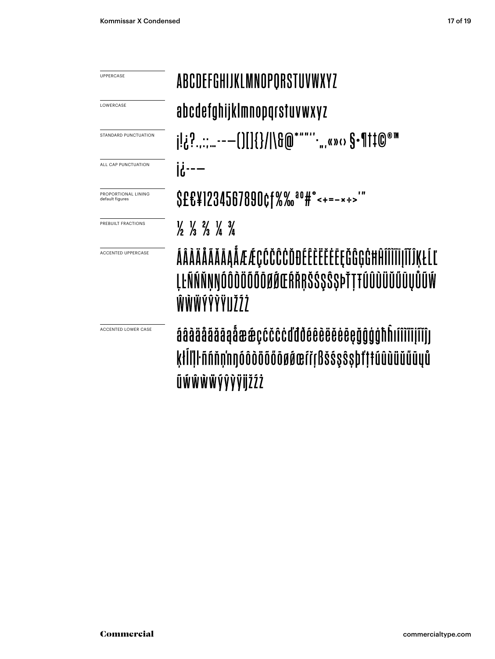| <b>UPPERCASE</b>                       | <b>ABCDEFGHIJKLMNOPQRSTUVWXYZ</b>                                                                                    |  |  |  |  |
|----------------------------------------|----------------------------------------------------------------------------------------------------------------------|--|--|--|--|
| LOWERCASE                              | abcdefghijklmnopqrstuvwxyz                                                                                           |  |  |  |  |
| STANDARD PUNCTUATION                   | j!¿?:---()[]{}/ \&@*""''.,,«»‹› \$•¶†‡@®™                                                                            |  |  |  |  |
| ALL CAP PUNCTUATION                    | $\mathbf{R}$                                                                                                         |  |  |  |  |
| PROPORTIONAL LINING<br>default figures | \$£&¥1234567890¢f%% <sup>a0#</sup> "<+=-*÷>                                                                          |  |  |  |  |
| PREBUILT FRACTIONS                     | $\frac{1}{2}$ $\frac{1}{3}$ $\frac{2}{3}$ $\frac{1}{4}$ $\frac{3}{4}$                                                |  |  |  |  |
| <b>ACCENTED UPPERCASE</b>              | ÁÂÀÄÅÃĂĀĄÅÆÆÇĆČĈĊĎĐÉÊÈËĔĖĘĞĜĢĠĦĤĨÎÌĬĪĮĨĨĴĶŁĹĽ<br><b>ĮĿÑŃŇŅŊÓÔŎŎŐŐŎØŔŒŔŘŖŠŚŞŜŞÞŤŢŦÚÛÙŬŬŰŨŲŮŨŴ</b><br>ŴŴŴÝŶŶŸIJŽŹŻ     |  |  |  |  |
| <b>ACCENTED LOWER CASE</b>             | áâàäåãăāaåææçcčccddděêèëëeeçğĝgghhifiìiiijïíjj<br>ķłllll ñnňn'nnóôdööőöøøærreBšssssbt't túûùüŭüüyů<br>ŨŴŴŴŴÝŶŸŸijŽŹŻ |  |  |  |  |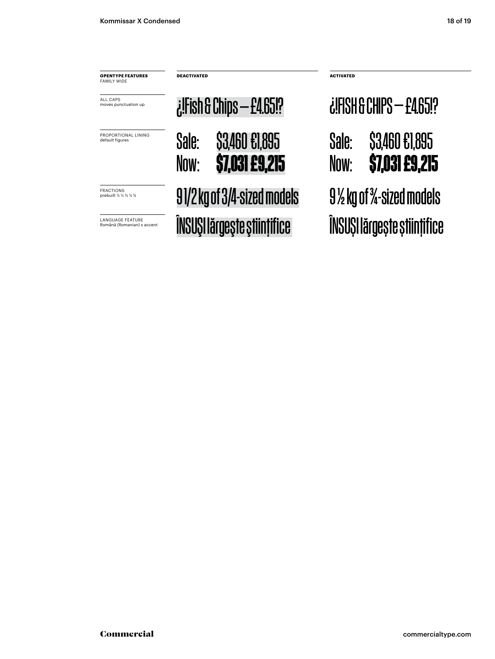|                                                       | <b>DEACTIVATED</b><br>$i$ :Fish & Chips $-$ £4.65!? |                                  |                                                                        |                                  |  |
|-------------------------------------------------------|-----------------------------------------------------|----------------------------------|------------------------------------------------------------------------|----------------------------------|--|
| <b>OPENTYPE FEATURES</b><br><b>FAMILY WIDE</b>        |                                                     |                                  | <b>ACTIVATED</b><br><b><i><u> ¿!FISH &amp; CHIPS — £4,65!?</u></i></b> |                                  |  |
| ALL CAPS<br>moves punctuation up                      |                                                     |                                  |                                                                        |                                  |  |
| PROPORTIONAL LINING<br>default figures                | Sale:<br>Now:                                       | \$3,460 £1,895<br>\$7,031 £9,215 | Sale:<br>Now:                                                          | \$3,460 £1,895<br>\$7,031 £9,215 |  |
| <b>FRACTIONS</b><br>prebuilt 1/2 1/3 1/4 1/4          | 9 1/2 kg of 3/4-sized models                        |                                  | $9\%$ kg of $\frac{3}{4}$ -sized models                                |                                  |  |
| <b>LANGUAGE FEATURE</b><br>Română (Romanian) s accent | ÎNSUȘI lărgește științifice                         |                                  | ÎNSUȘI lărgește științifice                                            |                                  |  |